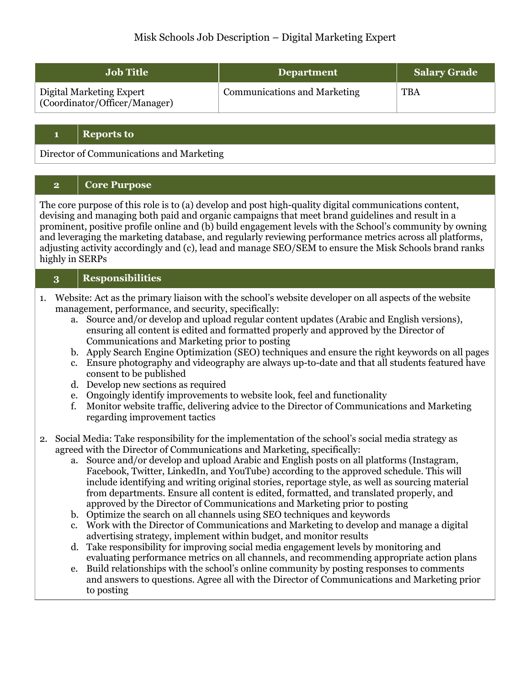## Misk Schools Job Description – Digital Marketing Expert

| <b>Job Title</b>                                          | <b>Department</b>                   | <b>Salary Grade</b> |
|-----------------------------------------------------------|-------------------------------------|---------------------|
| Digital Marketing Expert<br>(Coordinator/Officer/Manager) | <b>Communications and Marketing</b> | TBA                 |

## **1 Reports to**

Director of Communications and Marketing

## **2 Core Purpose**

The core purpose of this role is to (a) develop and post high-quality digital communications content, devising and managing both paid and organic campaigns that meet brand guidelines and result in a prominent, positive profile online and (b) build engagement levels with the School's community by owning and leveraging the marketing database, and regularly reviewing performance metrics across all platforms, adjusting activity accordingly and (c), lead and manage SEO/SEM to ensure the Misk Schools brand ranks highly in SERPs

## **3 Responsibilities**

- 1. Website: Act as the primary liaison with the school's website developer on all aspects of the website management, performance, and security, specifically:
	- a. Source and/or develop and upload regular content updates (Arabic and English versions), ensuring all content is edited and formatted properly and approved by the Director of Communications and Marketing prior to posting
	- b. Apply Search Engine Optimization (SEO) techniques and ensure the right keywords on all pages
	- c. Ensure photography and videography are always up-to-date and that all students featured have consent to be published
	- d. Develop new sections as required
	- e. Ongoingly identify improvements to website look, feel and functionality
	- f. Monitor website traffic, delivering advice to the Director of Communications and Marketing regarding improvement tactics
- 2. Social Media: Take responsibility for the implementation of the school's social media strategy as agreed with the Director of Communications and Marketing, specifically:
	- a. Source and/or develop and upload Arabic and English posts on all platforms (Instagram, Facebook, Twitter, LinkedIn, and YouTube) according to the approved schedule. This will include identifying and writing original stories, reportage style, as well as sourcing material from departments. Ensure all content is edited, formatted, and translated properly, and approved by the Director of Communications and Marketing prior to posting
	- b. Optimize the search on all channels using SEO techniques and keywords
	- c. Work with the Director of Communications and Marketing to develop and manage a digital advertising strategy, implement within budget, and monitor results
	- d. Take responsibility for improving social media engagement levels by monitoring and evaluating performance metrics on all channels, and recommending appropriate action plans
	- e. Build relationships with the school's online community by posting responses to comments and answers to questions. Agree all with the Director of Communications and Marketing prior to posting